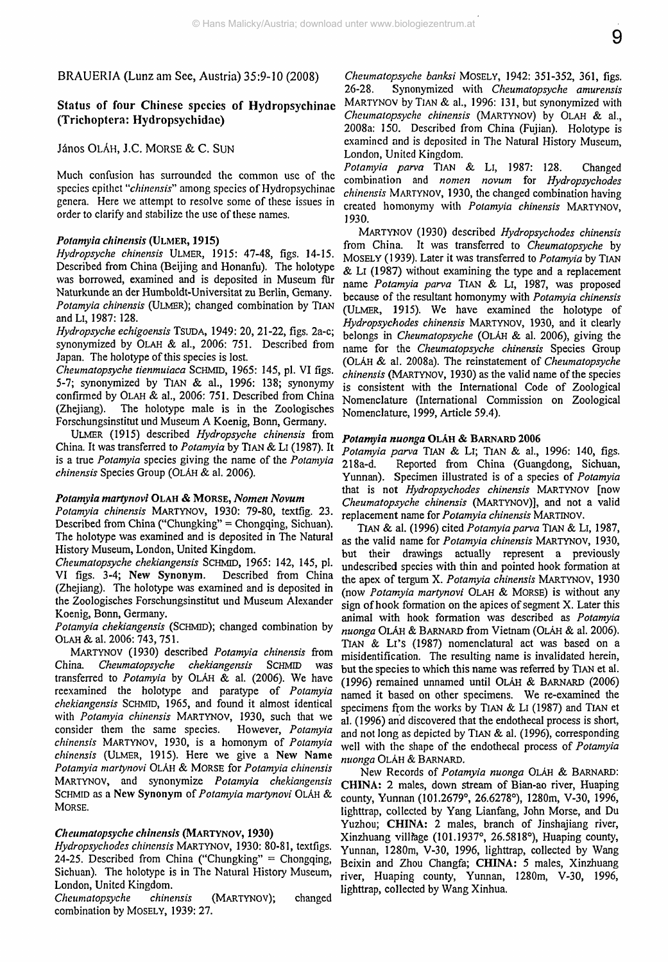BRAUERIA (Lunz am See, Austria) 35:9-10 (2008)

## Status of four Chinese species of Hydropsychinae (Trichoptera: Hydropsychidae)

## János OLÁH, J.C. MORSE & C. SUN

Much confusion has surrounded the common use of the species epithet *"chinensis"* among species of Hydropsychinae genera. Here we attempt to resolve some of these issues in order to clarify and stabilize the use of these names.

#### *Potamyia chinensis* **(ULMER, 1915)**

*Hydropsyche chinensis* ULMER, 1915: 47-48, figs. 14-15. Described from China (Beijing and Honanfu). The holotype was borrowed, examined and is deposited in Museum fiir Naturkunde an der Humboldt-Universität zu Berlin, Gemany. *Potamyia chinensis* (ULMER); changed combination by TIAN and LI, 1987:128.

*Hydropsyche echigoensis* TSUDA, 1949: 20, 21-22, figs. 2a-c; synonymized by OLAH & al., 2006: 751. Described from Japan. The holotype of this species is lost.

*Cheumatopsyche tienmuiaca* SCHMID, 1965: 145, pi. VI figs. 5-7; synonymized by TlAN & al., 1996: 138; synonymy confirmed by OLAH & al., 2006: 751. Described from China (Zhejiang). The holotype male is in the Zoologisches Forschungsinstitut und Museum A Koenig, Bonn, Germany.

ULMER (1915) described *Hydropsyche chinensis* from China. It was transferred to *Potamyia* by TlAN & Li (1987). It is a true *Potamyia* species giving the name of the *Potamyia chinensis* Species Group (OLAH & al. 2006).

#### *Potamyia martynovi* **OLAH & MORSE,** *Nomen Novum*

*Potamyia chinensis* MARTYNOV, 1930: 79-80, textfig. 23. Described from China ("Chungking" = Chongqing, Sichuan). The holotype was examined and is deposited in The Natural History Museum, London, United Kingdom.

*Cheumatopsyche chekiangensis* SCHMID, **1965: 142, 145, pi.** VI figs. 3-4; New **Synonym.** Described from China (Zhejiang). The holotype was examined and is deposited in the Zoologisches Forschungsinstitut und Museum Alexander Koenig, Bonn, Germany.

*Potamyia chekiangensis* (SCHME)); changed combination by OLAH & al. 2006: 743, 751.

MARTYNOV (1930) described *Potamyia chinensis* from China. *Cheumatopsyche chekiangensis* SCHMID was transferred to *Potamyia* by OLAH & al. (2006). We have rcexamined the holotype and paratype of *Potamyia chekiangensis* SCHMID, 1965, and found it almost identical with *Potamyia chinensis* MARTYNOV, 1930, such that we consider them the same species. However, *Potamyia chinensis* MARTYNOV, 1930, is a homonym of *Potamyia chinensis* (ULMER, 1915). Here we give a New Name *Potamyia martynovi* OLAH & MORSE for *Potamyia chinensis* MARTYNOV, and synonymize *Potamyia chekiangensis* SCHMID as a New Synonym of *Potamyia martynovi* OLAH & MORSE.

#### *Cheumatopsyche chinensis* **(MARTYNOV, 1930)**

*Hydropsychodes chinensis* MARTYNOV, 1930: 80-81, textfigs. 24-25. Described from China ("Chungking" = Chongqing, Sichuan). The holotype is in The Natural History Museum, London, United Kingdom.

*Cheumatopsyche chinensis* (MARTYNOV); changed combination by MOSELY, 1939: 27.

*Cheumatopsyche banksi* MOSELY, 1942: 351-352, 361, figs. 26-28. Synonymized with *Cheumatopsyche amurensis* MARTYNOV by TIAN & al., 1996: 131, but synonymized with *Cheumatopsyche chinensis* (MARTYNOV) by OLAH & al., 2008a: 150. Described from China (Fujian). Holotype is examined and is deposited in The Natural History Museum, London, United Kingdom.

*Potamyia parva* TlAN & Li, 1987: 128. Changed combination and *nomen novum* for *Hydropsychodes chinensis* MARTYNOV, 1930, the changed combination having created homonymy with *Potamyia chinensis* MARTYNOV, 1930.

MARTYNOV (1930) described *Hydropsychodes chinensis* from China. It was transferred to *Cheumatopsyche* by MOSELY (1939). Later it was transferred to *Potamyia* by TIAN  $&$  LI (1987) without examining the type and a replacement name *Potamyia parva* TIAN & Li, 1987, was proposed because of the resultant homonymy with *Potamyia chinensis* (ULMER, 1915). We have examined the holotype of *Hydropsychodes chinensis* MARTYNOV, 1930, and it clearly belongs in *Cheumatopsyche* (OLAH & al. 2006), giving the **name** for the *Cheumatopsyche chinensis* Species Group (OLAH & al. 2008a). The reinstatement of *Cheumatopsyche chinensis* (MARTYNOV, 1930) as the valid name of the species is consistent with the International Code of Zoological Nomenclature (International Commission on Zoological Nomenclature, 1999, Article 59.4).

#### *Potamyia nuonga* OLAH & BARNARD 2006

Potamyia parva TIAN & LI; TIAN & al., 1996: 140, figs. 218a-d. Reported from China (Guangdong, Sichuan, Reported from China (Guangdong, Sichuan, Yunnan). Specimen illustrated is of a species of *Potamyia* **that** is **not** *Hydropsychodes chinensis* MARTYNOV **[now** *Cheumatopsyche chinensis* (MARTYNOV)], and not a valid replacement name for *Potamyia chinensis* MARTINOV.

TIAN & al. (1996) cited *Potamyia parva* TlAN & Li, 1987, as the valid name for *Potamyia chinensis* MARTYNOV, 1930, but their drawings actually represent a previously undescribed species with thin and pointed hook formation at the apex of tergum X. *Potamyia chinensis* MARTYNOV, 1930 (now *Potamyia martynovi* OLAH & MORSE) is without any sign of hook formation on the apices of segment X. Later this animal with hook formation was described as *Potamyia nuonga* OLAH & BARNARD from Vietnam (OLAH & al. 2006). TlAN & Lr's (1987) nomenclatural act was based on a misidentification. The resulting name is invalidated herein, but the species to which this name was referred by TlAN et al. (1996) remained unnamed until OLAH & BARNARD (2006) named it based on other specimens. We re-examined the specimens from the works by TIAN & Li (1987) and TIAN et al. (1996) and discovered that the endothecal process is short, and not long as depicted by TIAN & al. (1996), corresponding well with the shape of the endothecal process of *Potamyia nuonga* OLAH & BARNARD.

New Records of *Potamyia nuonga* OLAH & BARNARD: **CHINA:** 2 males, down stream of Bian-ao river, Huaping county, Yunnan (101.2679°, 26.6278°), 1280m, V-30, 1996, lighttrap, collected by Yang Lianfang, John Morse, and Du Yuzhou; **CHINA:** 2 males, branch of Jinshajiang river, Xinzhuang villfage (101.1937 $\degree$ , 26.5818 $\degree$ ), Huaping county, Yunnan, 1280m, V-30, 1996, lighttrap, collected by Wang Beixin and Zhou Changfa; **CHINA:** 5 males, Xinzhuang river, Huaping county, Yunnan, 1280m, V-30, 1996, lighttrap, collected by Wang Xinhua.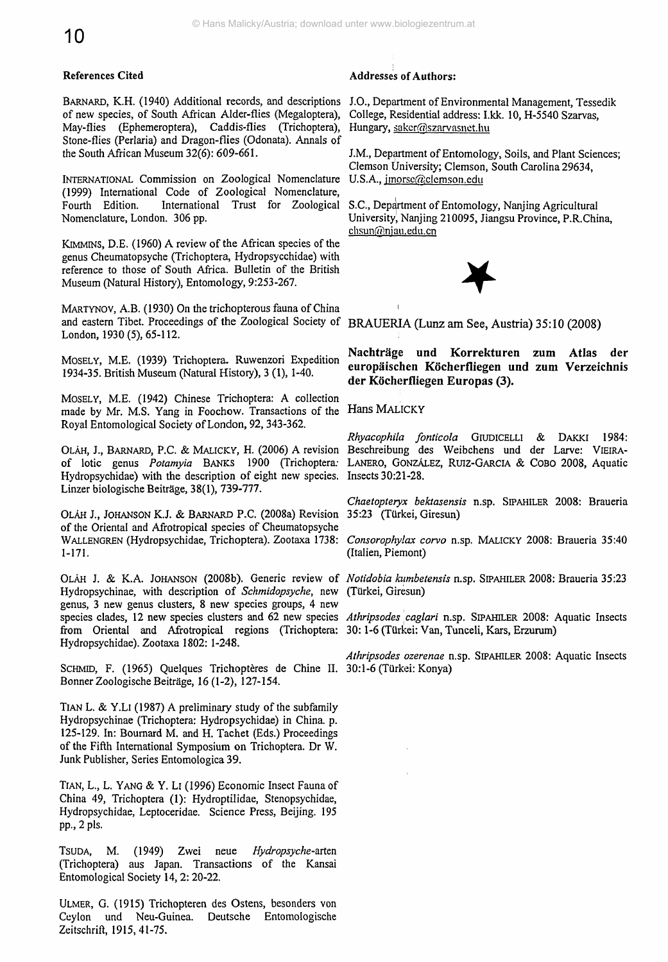### References Cited

BARNARD, K.H. (1940) Additional records, and descriptions J.O., Department of Environmental Management, Tessedik of new species, of South African Alder-flies (Megaloptera), May-flies (Ephemeroptera), Caddis-flies (Trichoptera), Stone-flies (Perlaria) and Dragon-flies (Odonata). Annals of the South African Museum 32(6): 609-661.

INTERNATIONAL Commission on Zoological Nomenclature (1999) International Code of Zoological Nomenclature, International Trust for Zoological Nomenclature, London. 306 pp.

KIMMINS, D.E. (1960) A review of the African species of the genus Cheumatopsyche (Trichoptera, Hydropsycchidae) with reference to those of South Africa. Bulletin of the British Museum (Natural History), Entomology, 9:253-267.

MARTYNOV, A.B. (1930) On the trichopterous fauna of China ' and eastern Tibet. Proceedings of the Zoological Society of BRAUERIA (Lunz am See, Austria) 35:10 (2008) London, 1930 (5), 65-112.

MOSELY, M.E. (1939) Trichoptera. Ruwenzori Expedition 1934-35. British Museum (Natural History), 3 (1), 1-40.

MOSELY, M.E. (1942) Chinese Trichoptera: A collection made by Mr. M.S. Yang in Foochow. Transactions of the Hans MALICKY Royal Entomological Society of London, 92, 343-362.

OLÄH, J., BARNARD, P.C. & MALICKY, H. (2006) A revision Hydropsychidae) with the description of eight new species. Insects 30:21-28. Linzer biologische Beiträge, 38(1), 739-777.

OLAH J., JOHANSON K.J. & BARNARD P.C. (2008a) Revision of the Oriental and Afrotropical species of Cheumatopsyche 1-171.

Hydropsychinae, with description of *Schmidopsyche,* new (Türkei, Giresun) genus, 3 new genus clusters, 8 new species groups, 4 new species clades, 12 new species clusters and 62 new species *Athripsodes caglari* n.sp. SIPAHILER 2008: Aquatic Insects from Oriental and Afrotropical regions (Trichoptera: 30:1-6 (Türkei: Van, Tunceli, Kars, Erzurum) Hydropsychidae). Zootaxa 1802: 1-248.

SCHMID, F. (1965) Quelques Trichoptères de Chine II. 30:1-6 (Türkei: Konya) Bonner Zoologische Beiträge, 16(1-2), 127-154.

TiAN L. & Y.Li (1987) A preliminary study of the subfamily Hydropsychinae (Trichoptera: Hydropsychidae) in China, p. 125-129. In: Bournard M. and H. Tachet (Eds.) Proceedings of the Fifth International Symposium on Trichoptera. Dr W. Junk Publisher, Series Entomologica 39.

TiAN, L., L. YANG & Y. Li (1996) Economic Insect Fauna of China 49, Trichoptera (1): Hydroptilidae, Stenopsychidae, Hydropsychidae, Leptoceridae. Science Press, Beijing. 195 pp., 2 pis.

TSUDA, M. (1949) Zwei neue Hydropsyche-arten (Trichoptera) aus Japan. Transactions of the Kansai Entomological Society 14, 2: 20-22.

ULMER, G. (1915) Trichopteren des Ostens, besonders von Ceylon und Neu-Guinea. Deutsche Entomologische Zeitschrift, 1915, 41-75.

#### Addresses of Authors:

College, Residential address: I.kk. 10, H-5540 Szarvas, Hungary, saker@szarvasnet.hu

J.M., Department of Entomology, Soils, and Plant Sciences; Clemson University; Clemson, South Carolina 29634, U.S.A., imorsc@clemson.edu

S.C., Department of Entomology, Nanjing Agricultural University, Nanjing 210095, Jiangsu Province, P.R.China,  $chsum(\widehat{a}$ njau.edu.cn



**Nachträge und Korrekturen zum Atlas der europäischen Köcherfliegen und zum Verzeichnis der Köcherfliegen Europas (3).**

of lotic genus *Potamyia* BANKS 1900 (Trichoptera: LANERO, GONZALEZ, RUIZ-GARCIA & COBO 2008, Aquatic *Rhyacophila fonticola* GlUDiCELLI & DAKKI 1984: Beschreibung des Weibchens und der Larve: VIEIRA-

> *Chaetopteryx bektasensis* n.sp. SiPAHlLER 2008: Braueria 35:23 (Türkei, Giresun)

WALLENGREN (Hydropsychidae, Trichoptera). Zootaxa 1738: *Consorophylax corvo* n.sp. MALICKY 2008: Braueria 35:40 (Italien, Piemont)

OLÄH J. & K.A. JOHANSON (2008b). Generic review of *Notidobia himbetensis* n.sp. SiPAHlLER 2008: Braueria 35:23

*Athripsodes ozerenae* n.sp. SiPAHlLER 2008: Aquatic Insects